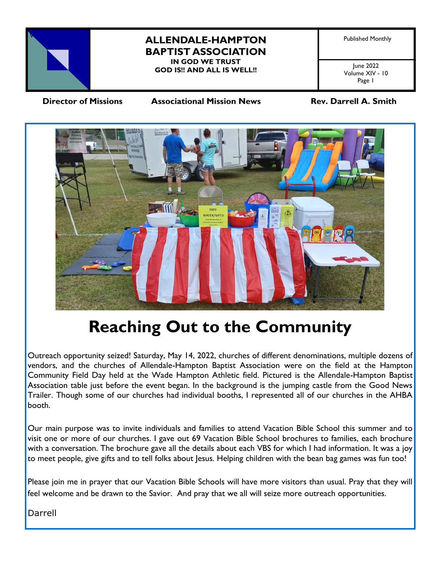

## **ALLENDALE-HAMPTON** Published Monthly **BAPTIST ASSOCIATION IN GOD WE TRUST**

**GOD IS!! AND ALL IS WELL!!**

June 2022 Volume XIV - 10 Page 1

 **Director of Missions Associational Mission News Rev. Darrell A. Smith** 



# **Reaching Out to the Community**

Outreach opportunity seized! Saturday, May 14, 2022, churches of different denominations, multiple dozens of vendors, and the churches of Allendale-Hampton Baptist Association were on the field at the Hampton Community Field Day held at the Wade Hampton Athletic field. Pictured is the Allendale-Hampton Baptist Association table just before the event began. In the background is the jumping castle from the Good News Trailer. Though some of our churches had individual booths, I represented all of our churches in the AHBA booth.

Our main purpose was to invite individuals and families to attend Vacation Bible School this summer and to visit one or more of our churches. I gave out 69 Vacation Bible School brochures to families, each brochure with a conversation. The brochure gave all the details about each VBS for which I had information. It was a joy to meet people, give gifts and to tell folks about Jesus. Helping children with the bean bag games was fun too!

Please join me in prayer that our Vacation Bible Schools will have more visitors than usual. Pray that they will feel welcome and be drawn to the Savior. And pray that we all will seize more outreach opportunities.

Darrell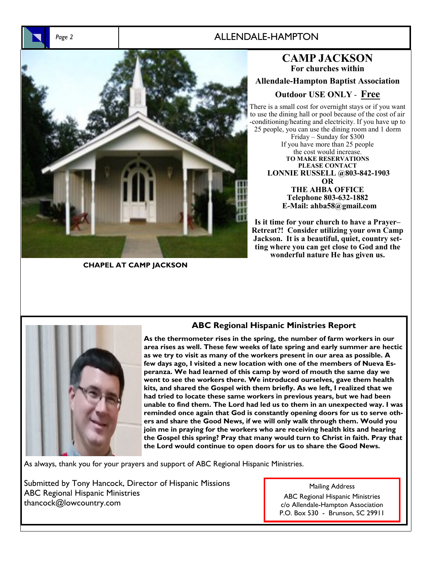## *Page 2* ALLENDALE-HAMPTON



**CHAPEL AT CAMP JACKSON**

**CAMP JACKSON For churches within Allendale-Hampton Baptist Association Outdoor USE ONLY** - **Free**  There is a small cost for overnight stays or if you want to use the dining hall or pool because of the cost of air

-conditioning/heating and electricity. If you have up to 25 people, you can use the dining room and 1 dorm Friday – Sunday for \$300 If you have more than 25 people the cost would increase. **TO MAKE RESERVATIONS PLEASE CONTACT LONNIE RUSSELL @803-842-1903 OR THE AHBA OFFICE Telephone 803-632-1882 E-Mail: ahba58@gmail.com** 

**Is it time for your church to have a Prayer– Retreat?! Consider utilizing your own Camp Jackson. It is a beautiful, quiet, country setting where you can get close to God and the wonderful nature He has given us.** 



### **ABC Regional Hispanic Ministries Report**

**As the thermometer rises in the spring, the number of farm workers in our area rises as well. These few weeks of late spring and early summer are hectic as we try to visit as many of the workers present in our area as possible. A few days ago, I visited a new location with one of the members of Nueva Esperanza. We had learned of this camp by word of mouth the same day we went to see the workers there. We introduced ourselves, gave them health kits, and shared the Gospel with them briefly. As we left, I realized that we had tried to locate these same workers in previous years, but we had been unable to find them. The Lord had led us to them in an unexpected way. I was reminded once again that God is constantly opening doors for us to serve others and share the Good News, if we will only walk through them. Would you join me in praying for the workers who are receiving health kits and hearing the Gospel this spring? Pray that many would turn to Christ in faith. Pray that the Lord would continue to open doors for us to share the Good News.**

As always, thank you for your prayers and support of ABC Regional Hispanic Ministries.

Submitted by Tony Hancock, Director of Hispanic Missions ABC Regional Hispanic Ministries thancock@lowcountry.com

#### Mailing Address

ABC Regional Hispanic Ministries c/o Allendale-Hampton Association P.O. Box 530 - Brunson, SC 29911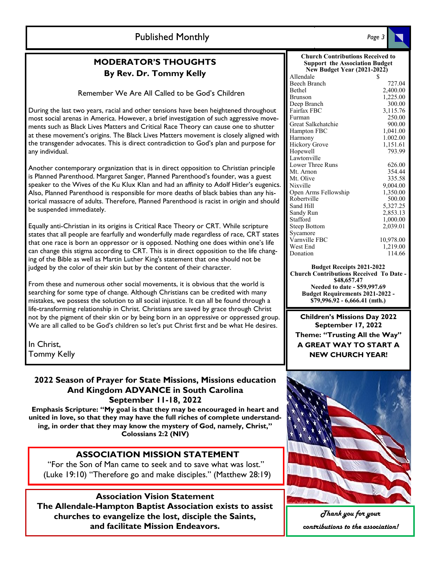## **Published Monthly**

## **MODERATOR'S THOUGHTS By Rev. Dr. Tommy Kelly**

Remember We Are All Called to be God's Children

During the last two years, racial and other tensions have been heightened throughout most social arenas in America. However, a brief investigation of such aggressive movements such as Black Lives Matters and Critical Race Theory can cause one to shutter at these movement's origins. The Black Lives Matters movement is closely aligned with the transgender advocates. This is direct contradiction to God's plan and purpose for any individual.

Another contemporary organization that is in direct opposition to Christian principle is Planned Parenthood. Margaret Sanger, Planned Parenthood's founder, was a guest speaker to the Wives of the Ku Klux Klan and had an affinity to Adolf Hitler's eugenics. Also, Planned Parenthood is responsible for more deaths of black babies than any historical massacre of adults. Therefore, Planned Parenthood is racist in origin and should be suspended immediately.

Equally anti-Christian in its origins is Critical Race Theory or CRT. While scripture states that all people are fearfully and wonderfully made regardless of race, CRT states that one race is born an oppressor or is opposed. Nothing one does within one's life can change this stigma according to CRT. This is in direct opposition to the life changing of the Bible as well as Martin Luther King's statement that one should not be judged by the color of their skin but by the content of their character.

From these and numerous other social movements, it is obvious that the world is searching for some type of change. Although Christians can be credited with many mistakes, we possess the solution to all social injustice. It can all be found through a life-transforming relationship in Christ. Christians are saved by grace through Christ not by the pigment of their skin or by being born in an oppressive or oppressed group. We are all called to be God's children so let's put Christ first and be what He desires.

In Christ, Tommy Kelly

#### **2022 Season of Prayer for State Missions, Missions education And Kingdom ADVANCE in South Carolina September 11-18, 2022**

**Emphasis Scripture: "My goal is that they may be encouraged in heart and united in love, so that they may have the full riches of complete understanding, in order that they may know the mystery of God, namely, Christ," Colossians 2:2 (NIV)**

#### **ASSOCIATION MISSION STATEMENT**

"For the Son of Man came to seek and to save what was lost." (Luke 19:10) "Therefore go and make disciples." (Matthew 28:19)

### **Association Vision Statement**

**The Allendale-Hampton Baptist Association exists to assist churches to evangelize the lost, disciple the Saints, and facilitate Mission Endeavors.**

| <b>Church Contributions Received to</b><br><b>Support the Association Budget</b><br><b>New Budget Year (2021-2022)</b> |           |              |        |
|------------------------------------------------------------------------------------------------------------------------|-----------|--------------|--------|
|                                                                                                                        |           | Allendale    | \$     |
|                                                                                                                        |           | Beech Branch | 727.04 |
| Bethel                                                                                                                 | 2,400.00  |              |        |
| Brunson                                                                                                                | 1,225.00  |              |        |
| Deep Branch                                                                                                            | 300.00    |              |        |
| Fairfax FBC                                                                                                            | 3,115.76  |              |        |
| Furman                                                                                                                 | 250.00    |              |        |
| Great Salkehatchie                                                                                                     | 900.00    |              |        |
| Hampton FBC                                                                                                            | 1,041.00  |              |        |
| Harmony                                                                                                                | 1.002.00  |              |        |
| Hickory Grove                                                                                                          | 1,151.61  |              |        |
| Hopewell                                                                                                               | 793.99    |              |        |
| Lawtonville                                                                                                            |           |              |        |
| Lower Three Runs                                                                                                       | 626.00    |              |        |
| Mt. Arnon                                                                                                              | 354.44    |              |        |
| Mt. Olive                                                                                                              | 335.58    |              |        |
| Nixville                                                                                                               | 9,004.00  |              |        |
| Open Arms Fellowship                                                                                                   | 1,350.00  |              |        |
| Robertville                                                                                                            | 500.00    |              |        |
| Sand Hill                                                                                                              | 5,327.25  |              |        |
| Sandy Run                                                                                                              | 2,853.13  |              |        |
| Stafford                                                                                                               | 1,000.00  |              |        |
| <b>Steep Bottom</b>                                                                                                    | 2,039.01  |              |        |
| Sycamore                                                                                                               |           |              |        |
| Varnville FBC                                                                                                          | 10,978.00 |              |        |
| West End                                                                                                               | 1,219.00  |              |        |
| Donation                                                                                                               | 114.66    |              |        |
|                                                                                                                        |           |              |        |

**Budget Receipts 2021-2022 Church Contributions Received To Date - \$48,657.47 Needed to date - \$59,997.69 Budget Requirements 2021-2022 - \$79,996.92 - 6,666.41 (mth.)**

**Children's Missions Day 2022 September 17, 2022 Theme: "Trusting All the Way" A GREAT WAY TO START A NEW CHURCH YEAR!**



*Thank you for your contributions to the association!*

*Page 3*